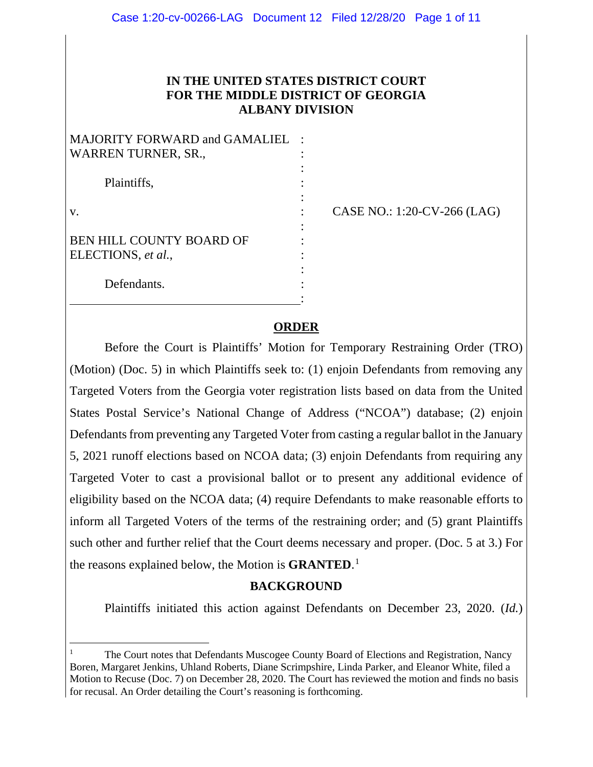### **IN THE UNITED STATES DISTRICT COURT FOR THE MIDDLE DISTRICT OF GEORGIA ALBANY DIVISION**

| <b>MAJORITY FORWARD and GAMALIEL</b> |  |
|--------------------------------------|--|
| <b>WARREN TURNER, SR.,</b>           |  |
|                                      |  |
| Plaintiffs,                          |  |
|                                      |  |
| V.                                   |  |
|                                      |  |
| <b>BEN HILL COUNTY BOARD OF</b>      |  |
| ELECTIONS, et al.,                   |  |
|                                      |  |
| Defendants.                          |  |
|                                      |  |

CASE NO.: 1:20-CV-266 (LAG)

### **ORDER**

Before the Court is Plaintiffs' Motion for Temporary Restraining Order (TRO) (Motion) (Doc. 5) in which Plaintiffs seek to: (1) enjoin Defendants from removing any Targeted Voters from the Georgia voter registration lists based on data from the United States Postal Service's National Change of Address ("NCOA") database; (2) enjoin Defendants from preventing any Targeted Voter from casting a regular ballot in the January 5, 2021 runoff elections based on NCOA data; (3) enjoin Defendants from requiring any Targeted Voter to cast a provisional ballot or to present any additional evidence of eligibility based on the NCOA data; (4) require Defendants to make reasonable efforts to inform all Targeted Voters of the terms of the restraining order; and (5) grant Plaintiffs such other and further relief that the Court deems necessary and proper. (Doc. 5 at 3.) For the reasons explained below, the Motion is **GRANTED**. [1](#page-0-0)

#### **BACKGROUND**

Plaintiffs initiated this action against Defendants on December 23, 2020. (*Id.*)

<span id="page-0-0"></span><sup>1</sup> The Court notes that Defendants Muscogee County Board of Elections and Registration, Nancy Boren, Margaret Jenkins, Uhland Roberts, Diane Scrimpshire, Linda Parker, and Eleanor White, filed a Motion to Recuse (Doc. 7) on December 28, 2020. The Court has reviewed the motion and finds no basis for recusal. An Order detailing the Court's reasoning is forthcoming.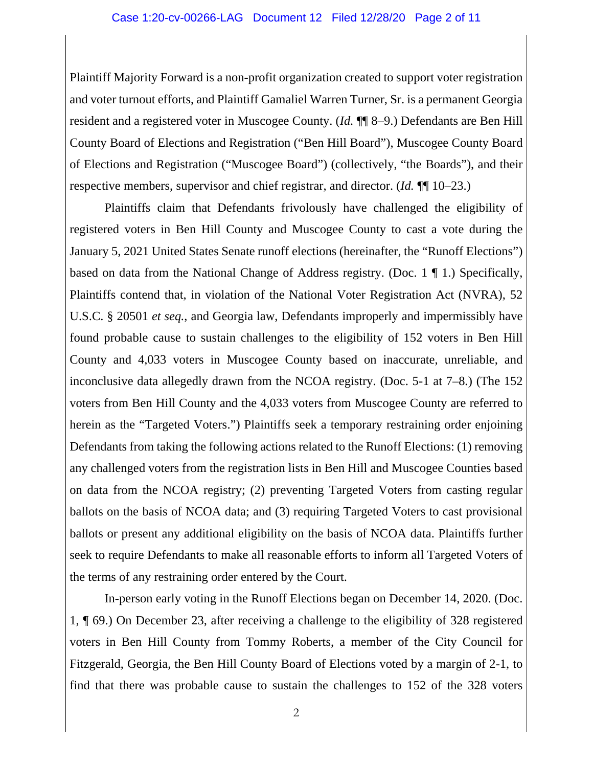#### Case 1:20-cv-00266-LAG Document 12 Filed 12/28/20 Page 2 of 11

Plaintiff Majority Forward is a non-profit organization created to support voter registration and voter turnout efforts, and Plaintiff Gamaliel Warren Turner, Sr. is a permanent Georgia resident and a registered voter in Muscogee County. (*Id.* ¶¶ 8–9.) Defendants are Ben Hill County Board of Elections and Registration ("Ben Hill Board"), Muscogee County Board of Elections and Registration ("Muscogee Board") (collectively, "the Boards"), and their respective members, supervisor and chief registrar, and director. (*Id.* ¶¶ 10–23.)

Plaintiffs claim that Defendants frivolously have challenged the eligibility of registered voters in Ben Hill County and Muscogee County to cast a vote during the January 5, 2021 United States Senate runoff elections (hereinafter, the "Runoff Elections") based on data from the National Change of Address registry. (Doc. 1 ¶ 1.) Specifically, Plaintiffs contend that, in violation of the National Voter Registration Act (NVRA), 52 U.S.C. § 20501 *et seq.*, and Georgia law, Defendants improperly and impermissibly have found probable cause to sustain challenges to the eligibility of 152 voters in Ben Hill County and 4,033 voters in Muscogee County based on inaccurate, unreliable, and inconclusive data allegedly drawn from the NCOA registry. (Doc. 5-1 at 7–8*.*) (The 152 voters from Ben Hill County and the 4,033 voters from Muscogee County are referred to herein as the "Targeted Voters.") Plaintiffs seek a temporary restraining order enjoining Defendants from taking the following actions related to the Runoff Elections: (1) removing any challenged voters from the registration lists in Ben Hill and Muscogee Counties based on data from the NCOA registry; (2) preventing Targeted Voters from casting regular ballots on the basis of NCOA data; and (3) requiring Targeted Voters to cast provisional ballots or present any additional eligibility on the basis of NCOA data. Plaintiffs further seek to require Defendants to make all reasonable efforts to inform all Targeted Voters of the terms of any restraining order entered by the Court.

In-person early voting in the Runoff Elections began on December 14, 2020. (Doc. 1, ¶ 69.) On December 23, after receiving a challenge to the eligibility of 328 registered voters in Ben Hill County from Tommy Roberts, a member of the City Council for Fitzgerald, Georgia, the Ben Hill County Board of Elections voted by a margin of 2-1, to find that there was probable cause to sustain the challenges to 152 of the 328 voters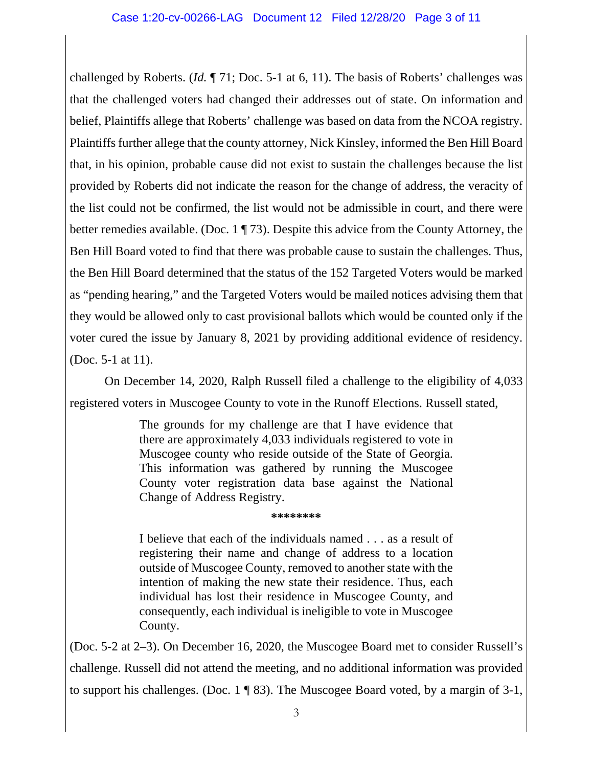challenged by Roberts. (*Id.* ¶ 71; Doc. 5-1 at 6, 11). The basis of Roberts' challenges was that the challenged voters had changed their addresses out of state. On information and belief, Plaintiffs allege that Roberts' challenge was based on data from the NCOA registry. Plaintiffs further allege that the county attorney, Nick Kinsley, informed the Ben Hill Board that, in his opinion, probable cause did not exist to sustain the challenges because the list provided by Roberts did not indicate the reason for the change of address, the veracity of the list could not be confirmed, the list would not be admissible in court, and there were better remedies available. (Doc. 1 ¶ 73). Despite this advice from the County Attorney, the Ben Hill Board voted to find that there was probable cause to sustain the challenges. Thus, the Ben Hill Board determined that the status of the 152 Targeted Voters would be marked as "pending hearing," and the Targeted Voters would be mailed notices advising them that they would be allowed only to cast provisional ballots which would be counted only if the voter cured the issue by January 8, 2021 by providing additional evidence of residency. (Doc. 5-1 at 11).

On December 14, 2020, Ralph Russell filed a challenge to the eligibility of 4,033 registered voters in Muscogee County to vote in the Runoff Elections. Russell stated,

> The grounds for my challenge are that I have evidence that there are approximately 4,033 individuals registered to vote in Muscogee county who reside outside of the State of Georgia. This information was gathered by running the Muscogee County voter registration data base against the National Change of Address Registry.

#### **\*\*\*\*\*\*\*\***

I believe that each of the individuals named . . . as a result of registering their name and change of address to a location outside of Muscogee County, removed to another state with the intention of making the new state their residence. Thus, each individual has lost their residence in Muscogee County, and consequently, each individual is ineligible to vote in Muscogee County.

(Doc. 5-2 at 2–3). On December 16, 2020, the Muscogee Board met to consider Russell's challenge. Russell did not attend the meeting, and no additional information was provided to support his challenges. (Doc. 1 ¶ 83). The Muscogee Board voted, by a margin of 3-1,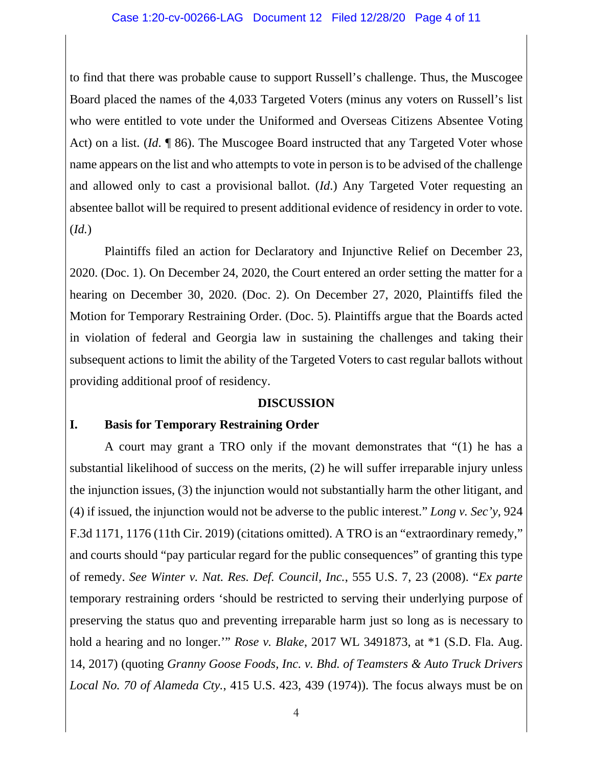#### Case 1:20-cv-00266-LAG Document 12 Filed 12/28/20 Page 4 of 11

to find that there was probable cause to support Russell's challenge. Thus, the Muscogee Board placed the names of the 4,033 Targeted Voters (minus any voters on Russell's list who were entitled to vote under the Uniformed and Overseas Citizens Absentee Voting Act) on a list. (*Id.* ¶ 86). The Muscogee Board instructed that any Targeted Voter whose name appears on the list and who attempts to vote in person is to be advised of the challenge and allowed only to cast a provisional ballot. (*Id*.) Any Targeted Voter requesting an absentee ballot will be required to present additional evidence of residency in order to vote. (*Id.*)

Plaintiffs filed an action for Declaratory and Injunctive Relief on December 23, 2020. (Doc. 1). On December 24, 2020, the Court entered an order setting the matter for a hearing on December 30, 2020. (Doc. 2). On December 27, 2020, Plaintiffs filed the Motion for Temporary Restraining Order. (Doc. 5). Plaintiffs argue that the Boards acted in violation of federal and Georgia law in sustaining the challenges and taking their subsequent actions to limit the ability of the Targeted Voters to cast regular ballots without providing additional proof of residency.

#### **DISCUSSION**

#### **I. Basis for Temporary Restraining Order**

A court may grant a TRO only if the movant demonstrates that "(1) he has a substantial likelihood of success on the merits, (2) he will suffer irreparable injury unless the injunction issues, (3) the injunction would not substantially harm the other litigant, and (4) if issued, the injunction would not be adverse to the public interest." *Long v. Sec'y*, 924 F.3d 1171, 1176 (11th Cir. 2019) (citations omitted). A TRO is an "extraordinary remedy," and courts should "pay particular regard for the public consequences" of granting this type of remedy. *See Winter v. Nat. Res. Def. Council, Inc.*, 555 U.S. 7, 23 (2008). "*Ex parte* temporary restraining orders 'should be restricted to serving their underlying purpose of preserving the status quo and preventing irreparable harm just so long as is necessary to hold a hearing and no longer.'" *Rose v. Blake*, 2017 WL 3491873, at \*1 (S.D. Fla. Aug. 14, 2017) (quoting *Granny Goose Foods, Inc. v. Bhd. of Teamsters & Auto Truck Drivers Local No. 70 of Alameda Cty.*, 415 U.S. 423, 439 (1974)). The focus always must be on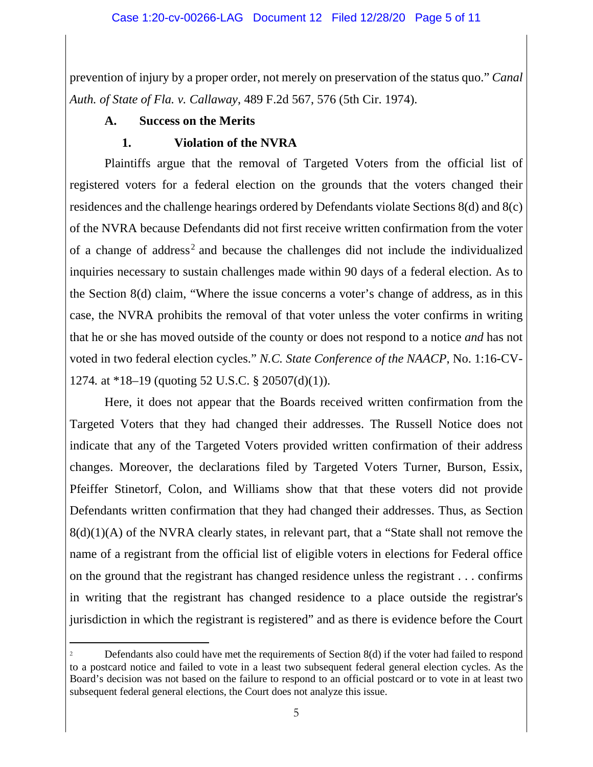prevention of injury by a proper order, not merely on preservation of the status quo." *Canal Auth. of State of Fla. v. Callaway*, 489 F.2d 567, 576 (5th Cir. 1974).

## **A. Success on the Merits**

# **1. Violation of the NVRA**

Plaintiffs argue that the removal of Targeted Voters from the official list of registered voters for a federal election on the grounds that the voters changed their residences and the challenge hearings ordered by Defendants violate Sections 8(d) and 8(c) of the NVRA because Defendants did not first receive written confirmation from the voter of a change of address<sup>[2](#page-4-0)</sup> and because the challenges did not include the individualized inquiries necessary to sustain challenges made within 90 days of a federal election. As to the Section 8(d) claim, "Where the issue concerns a voter's change of address, as in this case, the NVRA prohibits the removal of that voter unless the voter confirms in writing that he or she has moved outside of the county or does not respond to a notice *and* has not voted in two federal election cycles." *N.C. State Conference of the NAACP*, No. 1:16-CV-1274*.* at \*18–19 (quoting 52 U.S.C. § 20507(d)(1)).

Here, it does not appear that the Boards received written confirmation from the Targeted Voters that they had changed their addresses. The Russell Notice does not indicate that any of the Targeted Voters provided written confirmation of their address changes. Moreover, the declarations filed by Targeted Voters Turner, Burson, Essix, Pfeiffer Stinetorf, Colon, and Williams show that that these voters did not provide Defendants written confirmation that they had changed their addresses. Thus, as Section  $8(d)(1)(A)$  of the NVRA clearly states, in relevant part, that a "State shall not remove the name of a registrant from the official list of eligible voters in elections for Federal office on the ground that the registrant has changed residence unless the registrant . . . confirms in writing that the registrant has changed residence to a place outside the registrar's jurisdiction in which the registrant is registered" and as there is evidence before the Court

<span id="page-4-0"></span>Defendants also could have met the requirements of Section 8(d) if the voter had failed to respond to a postcard notice and failed to vote in a least two subsequent federal general election cycles. As the Board's decision was not based on the failure to respond to an official postcard or to vote in at least two subsequent federal general elections, the Court does not analyze this issue.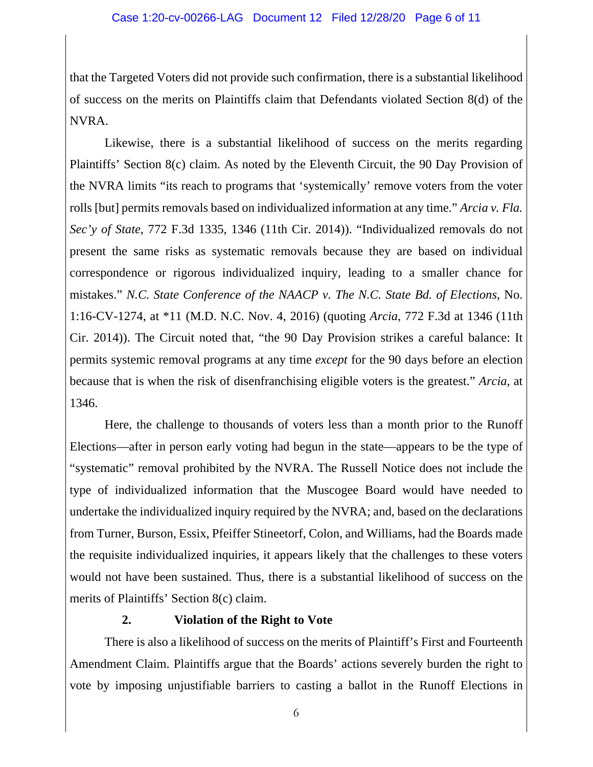that the Targeted Voters did not provide such confirmation, there is a substantial likelihood of success on the merits on Plaintiffs claim that Defendants violated Section 8(d) of the NVRA.

Likewise, there is a substantial likelihood of success on the merits regarding Plaintiffs' Section 8(c) claim. As noted by the Eleventh Circuit, the 90 Day Provision of the NVRA limits "its reach to programs that 'systemically' remove voters from the voter rolls [but] permits removals based on individualized information at any time." *Arcia v. Fla. Sec'y of State*, 772 F.3d 1335, 1346 (11th Cir. 2014)). "Individualized removals do not present the same risks as systematic removals because they are based on individual correspondence or rigorous individualized inquiry, leading to a smaller chance for mistakes." *N.C. State Conference of the NAACP v. The N.C. State Bd. of Elections*, No. 1:16-CV-1274, at \*11 (M.D. N.C. Nov. 4, 2016) (quoting *Arcia*, 772 F.3d at 1346 (11th Cir. 2014)). The Circuit noted that, "the 90 Day Provision strikes a careful balance: It permits systemic removal programs at any time *except* for the 90 days before an election because that is when the risk of disenfranchising eligible voters is the greatest." *Arcia*, at 1346.

Here, the challenge to thousands of voters less than a month prior to the Runoff Elections—after in person early voting had begun in the state—appears to be the type of "systematic" removal prohibited by the NVRA. The Russell Notice does not include the type of individualized information that the Muscogee Board would have needed to undertake the individualized inquiry required by the NVRA; and, based on the declarations from Turner, Burson, Essix, Pfeiffer Stineetorf, Colon, and Williams, had the Boards made the requisite individualized inquiries, it appears likely that the challenges to these voters would not have been sustained. Thus, there is a substantial likelihood of success on the merits of Plaintiffs' Section 8(c) claim.

# **2. Violation of the Right to Vote**

There is also a likelihood of success on the merits of Plaintiff's First and Fourteenth Amendment Claim. Plaintiffs argue that the Boards' actions severely burden the right to vote by imposing unjustifiable barriers to casting a ballot in the Runoff Elections in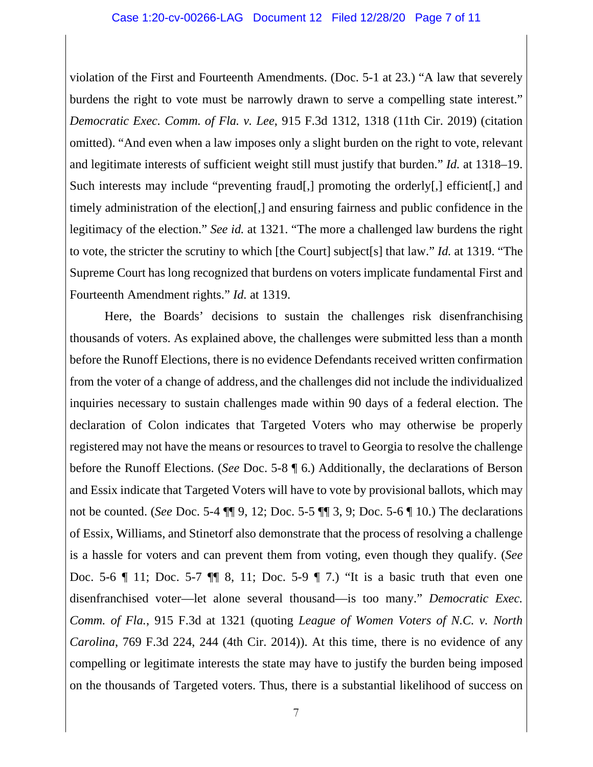#### Case 1:20-cv-00266-LAG Document 12 Filed 12/28/20 Page 7 of 11

violation of the First and Fourteenth Amendments. (Doc. 5-1 at 23.) "A law that severely burdens the right to vote must be narrowly drawn to serve a compelling state interest." *Democratic Exec. Comm. of Fla. v. Lee*, 915 F.3d 1312, 1318 (11th Cir. 2019) (citation omitted). "And even when a law imposes only a slight burden on the right to vote, relevant and legitimate interests of sufficient weight still must justify that burden." *Id.* at 1318–19. Such interests may include "preventing fraud[,] promoting the orderly[,] efficient[,] and timely administration of the election[,] and ensuring fairness and public confidence in the legitimacy of the election." *See id.* at 1321. "The more a challenged law burdens the right to vote, the stricter the scrutiny to which [the Court] subject[s] that law." *Id.* at 1319. "The Supreme Court has long recognized that burdens on voters implicate fundamental First and Fourteenth Amendment rights." *Id.* at 1319.

Here, the Boards' decisions to sustain the challenges risk disenfranchising thousands of voters. As explained above, the challenges were submitted less than a month before the Runoff Elections, there is no evidence Defendants received written confirmation from the voter of a change of address, and the challenges did not include the individualized inquiries necessary to sustain challenges made within 90 days of a federal election. The declaration of Colon indicates that Targeted Voters who may otherwise be properly registered may not have the means or resources to travel to Georgia to resolve the challenge before the Runoff Elections. (*See* Doc. 5-8 ¶ 6.) Additionally, the declarations of Berson and Essix indicate that Targeted Voters will have to vote by provisional ballots, which may not be counted. (*See* Doc. 5-4 ¶¶ 9, 12; Doc. 5-5 ¶¶ 3, 9; Doc. 5-6 ¶ 10.) The declarations of Essix, Williams, and Stinetorf also demonstrate that the process of resolving a challenge is a hassle for voters and can prevent them from voting, even though they qualify. (*See* Doc. 5-6 ¶ 11; Doc. 5-7 ¶¶ 8, 11; Doc. 5-9 ¶ 7.) "It is a basic truth that even one disenfranchised voter—let alone several thousand—is too many." *Democratic Exec. Comm. of Fla.*, 915 F.3d at 1321 (quoting *League of Women Voters of N.C. v. North Carolina*, 769 F.3d 224, 244 (4th Cir. 2014)). At this time, there is no evidence of any compelling or legitimate interests the state may have to justify the burden being imposed on the thousands of Targeted voters. Thus, there is a substantial likelihood of success on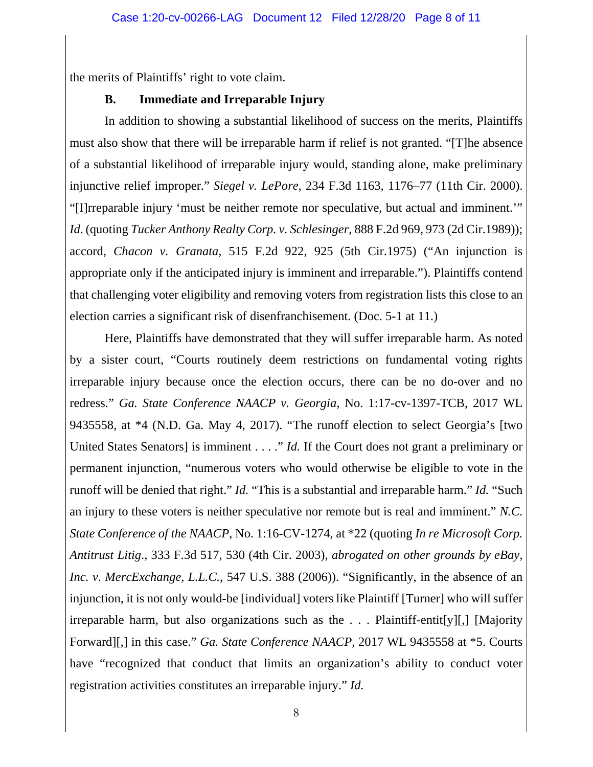the merits of Plaintiffs' right to vote claim.

## **B. Immediate and Irreparable Injury**

In addition to showing a substantial likelihood of success on the merits, Plaintiffs must also show that there will be irreparable harm if relief is not granted. "[T]he absence of a substantial likelihood of irreparable injury would, standing alone, make preliminary injunctive relief improper." *Siegel v. LePore*, 234 F.3d 1163, 1176–77 (11th Cir. 2000). "[I]rreparable injury 'must be neither remote nor speculative, but actual and imminent.'" *Id*. (quoting *Tucker Anthony Realty Corp. v. Schlesinger*, 888 F.2d 969, 973 (2d Cir.1989)); accord, *Chacon v. Granata*, 515 F.2d 922, 925 (5th Cir.1975) ("An injunction is appropriate only if the anticipated injury is imminent and irreparable."). Plaintiffs contend that challenging voter eligibility and removing voters from registration lists this close to an election carries a significant risk of disenfranchisement. (Doc. 5-1 at 11.)

Here, Plaintiffs have demonstrated that they will suffer irreparable harm. As noted by a sister court, "Courts routinely deem restrictions on fundamental voting rights irreparable injury because once the election occurs, there can be no do-over and no redress." *Ga. State Conference NAACP v. Georgia*, No. 1:17-cv-1397-TCB, 2017 WL 9435558, at \*4 (N.D. Ga. May 4, 2017). "The runoff election to select Georgia's [two United States Senators] is imminent . . . ." *Id.* If the Court does not grant a preliminary or permanent injunction, "numerous voters who would otherwise be eligible to vote in the runoff will be denied that right." *Id.* "This is a substantial and irreparable harm." *Id.* "Such an injury to these voters is neither speculative nor remote but is real and imminent." *N.C. State Conference of the NAACP*, No. 1:16-CV-1274, at \*22 (quoting *In re Microsoft Corp. Antitrust Litig*., 333 F.3d 517, 530 (4th Cir. 2003), *abrogated on other grounds by eBay, Inc. v. MercExchange, L.L.C.*, 547 U.S. 388 (2006)). "Significantly, in the absence of an injunction, it is not only would-be [individual] voters like Plaintiff [Turner] who will suffer irreparable harm, but also organizations such as the . . . Plaintiff-entit[y][,] [Majority Forward][,] in this case." *Ga. State Conference NAACP*, 2017 WL 9435558 at \*5. Courts have "recognized that conduct that limits an organization's ability to conduct voter registration activities constitutes an irreparable injury." *Id.*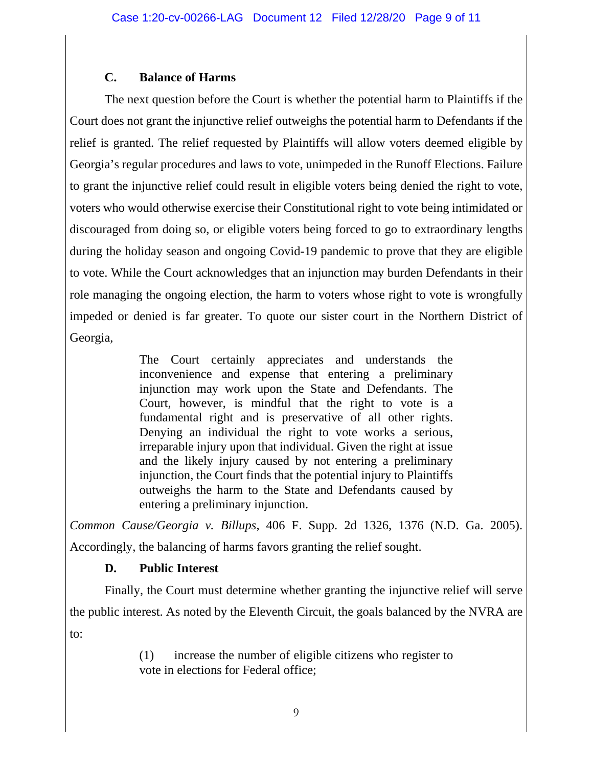## **C. Balance of Harms**

The next question before the Court is whether the potential harm to Plaintiffs if the Court does not grant the injunctive relief outweighs the potential harm to Defendants if the relief is granted. The relief requested by Plaintiffs will allow voters deemed eligible by Georgia's regular procedures and laws to vote, unimpeded in the Runoff Elections. Failure to grant the injunctive relief could result in eligible voters being denied the right to vote, voters who would otherwise exercise their Constitutional right to vote being intimidated or discouraged from doing so, or eligible voters being forced to go to extraordinary lengths during the holiday season and ongoing Covid-19 pandemic to prove that they are eligible to vote. While the Court acknowledges that an injunction may burden Defendants in their role managing the ongoing election, the harm to voters whose right to vote is wrongfully impeded or denied is far greater. To quote our sister court in the Northern District of Georgia,

> The Court certainly appreciates and understands the inconvenience and expense that entering a preliminary injunction may work upon the State and Defendants. The Court, however, is mindful that the right to vote is a fundamental right and is preservative of all other rights. Denying an individual the right to vote works a serious, irreparable injury upon that individual. Given the right at issue and the likely injury caused by not entering a preliminary injunction, the Court finds that the potential injury to Plaintiffs outweighs the harm to the State and Defendants caused by entering a preliminary injunction.

*Common Cause/Georgia v. Billups*, 406 F. Supp. 2d 1326, 1376 (N.D. Ga. 2005). Accordingly, the balancing of harms favors granting the relief sought.

# **D. Public Interest**

Finally, the Court must determine whether granting the injunctive relief will serve the public interest. As noted by the Eleventh Circuit, the goals balanced by the NVRA are to:

> (1) increase the number of eligible citizens who register to vote in elections for Federal office;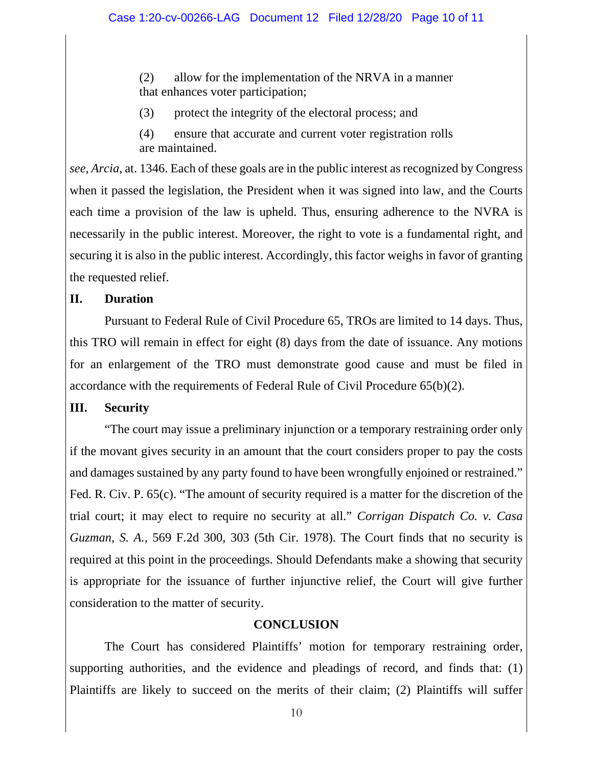(2) allow for the implementation of the NRVA in a manner that enhances voter participation;

(3) protect the integrity of the electoral process; and

(4) ensure that accurate and current voter registration rolls are maintained.

*see, Arcia*, at. 1346. Each of these goals are in the public interest as recognized by Congress when it passed the legislation, the President when it was signed into law, and the Courts each time a provision of the law is upheld. Thus, ensuring adherence to the NVRA is necessarily in the public interest. Moreover, the right to vote is a fundamental right, and securing it is also in the public interest. Accordingly, this factor weighs in favor of granting the requested relief.

### **II. Duration**

Pursuant to Federal Rule of Civil Procedure 65, TROs are limited to 14 days. Thus, this TRO will remain in effect for eight (8) days from the date of issuance. Any motions for an enlargement of the TRO must demonstrate good cause and must be filed in accordance with the requirements of Federal Rule of Civil Procedure 65(b)(2).

#### **III. Security**

"The court may issue a preliminary injunction or a temporary restraining order only if the movant gives security in an amount that the court considers proper to pay the costs and damages sustained by any party found to have been wrongfully enjoined or restrained." Fed. R. Civ. P. 65(c). "The amount of security required is a matter for the discretion of the trial court; it may elect to require no security at all." *Corrigan Dispatch Co. v. Casa Guzman, S. A.*, 569 F.2d 300, 303 (5th Cir. 1978). The Court finds that no security is required at this point in the proceedings. Should Defendants make a showing that security is appropriate for the issuance of further injunctive relief, the Court will give further consideration to the matter of security.

### **CONCLUSION**

The Court has considered Plaintiffs' motion for temporary restraining order, supporting authorities, and the evidence and pleadings of record, and finds that: (1) Plaintiffs are likely to succeed on the merits of their claim; (2) Plaintiffs will suffer